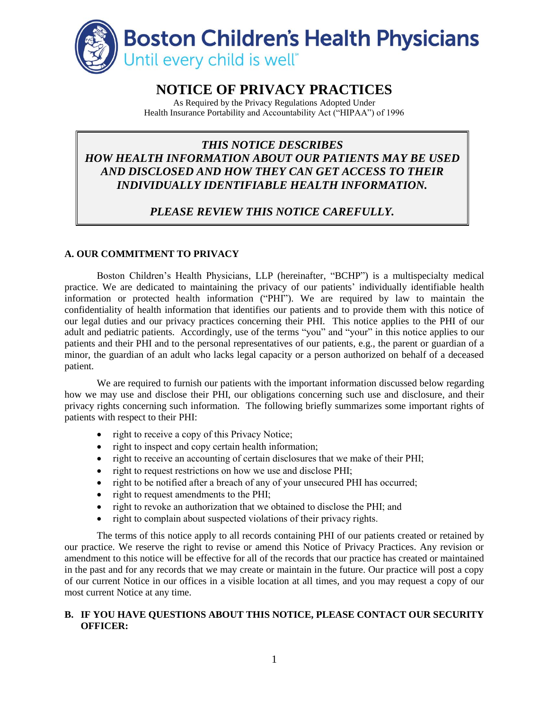

# **NOTICE OF PRIVACY PRACTICES**

As Required by the Privacy Regulations Adopted Under Health Insurance Portability and Accountability Act ("HIPAA") of 1996

## *THIS NOTICE DESCRIBES HOW HEALTH INFORMATION ABOUT OUR PATIENTS MAY BE USED AND DISCLOSED AND HOW THEY CAN GET ACCESS TO THEIR INDIVIDUALLY IDENTIFIABLE HEALTH INFORMATION.*

## *PLEASE REVIEW THIS NOTICE CAREFULLY.*

### **A. OUR COMMITMENT TO PRIVACY**

Boston Children's Health Physicians, LLP (hereinafter, "BCHP") is a multispecialty medical practice. We are dedicated to maintaining the privacy of our patients' individually identifiable health information or protected health information ("PHI"). We are required by law to maintain the confidentiality of health information that identifies our patients and to provide them with this notice of our legal duties and our privacy practices concerning their PHI. This notice applies to the PHI of our adult and pediatric patients. Accordingly, use of the terms "you" and "your" in this notice applies to our patients and their PHI and to the personal representatives of our patients, e.g., the parent or guardian of a minor, the guardian of an adult who lacks legal capacity or a person authorized on behalf of a deceased patient.

We are required to furnish our patients with the important information discussed below regarding how we may use and disclose their PHI, our obligations concerning such use and disclosure, and their privacy rights concerning such information. The following briefly summarizes some important rights of patients with respect to their PHI:

- right to receive a copy of this Privacy Notice;
- right to inspect and copy certain health information;
- right to receive an accounting of certain disclosures that we make of their PHI;
- right to request restrictions on how we use and disclose PHI;
- right to be notified after a breach of any of your unsecured PHI has occurred;
- right to request amendments to the PHI;
- right to revoke an authorization that we obtained to disclose the PHI; and
- right to complain about suspected violations of their privacy rights.

The terms of this notice apply to all records containing PHI of our patients created or retained by our practice. We reserve the right to revise or amend this Notice of Privacy Practices. Any revision or amendment to this notice will be effective for all of the records that our practice has created or maintained in the past and for any records that we may create or maintain in the future. Our practice will post a copy of our current Notice in our offices in a visible location at all times, and you may request a copy of our most current Notice at any time.

#### **B. IF YOU HAVE QUESTIONS ABOUT THIS NOTICE, PLEASE CONTACT OUR SECURITY OFFICER:**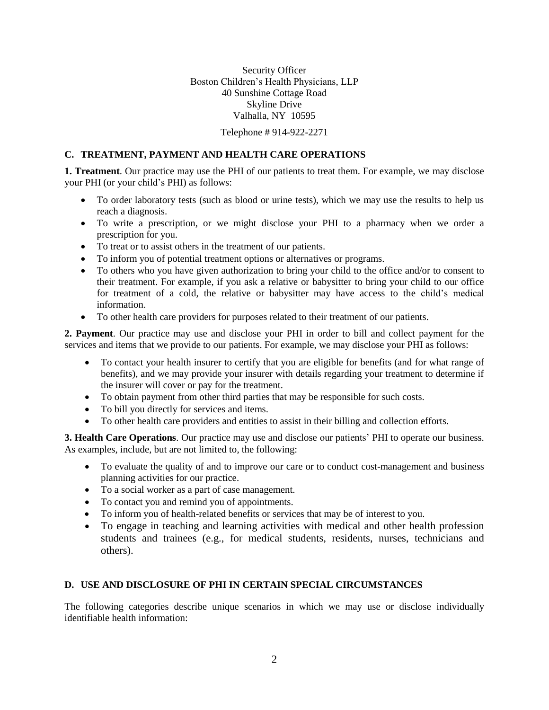Security Officer Boston Children's Health Physicians, LLP 40 Sunshine Cottage Road Skyline Drive Valhalla, NY 10595

Telephone # 914-922-2271

#### **C. TREATMENT, PAYMENT AND HEALTH CARE OPERATIONS**

**1. Treatment**. Our practice may use the PHI of our patients to treat them. For example, we may disclose your PHI (or your child's PHI) as follows:

- To order laboratory tests (such as blood or urine tests), which we may use the results to help us reach a diagnosis.
- To write a prescription, or we might disclose your PHI to a pharmacy when we order a prescription for you.
- To treat or to assist others in the treatment of our patients.
- To inform you of potential treatment options or alternatives or programs.
- To others who you have given authorization to bring your child to the office and/or to consent to their treatment. For example, if you ask a relative or babysitter to bring your child to our office for treatment of a cold, the relative or babysitter may have access to the child's medical information.
- To other health care providers for purposes related to their treatment of our patients.

**2. Payment**. Our practice may use and disclose your PHI in order to bill and collect payment for the services and items that we provide to our patients. For example, we may disclose your PHI as follows:

- To contact your health insurer to certify that you are eligible for benefits (and for what range of benefits), and we may provide your insurer with details regarding your treatment to determine if the insurer will cover or pay for the treatment.
- To obtain payment from other third parties that may be responsible for such costs.
- To bill you directly for services and items.
- To other health care providers and entities to assist in their billing and collection efforts.

**3. Health Care Operations**. Our practice may use and disclose our patients' PHI to operate our business. As examples, include, but are not limited to, the following:

- To evaluate the quality of and to improve our care or to conduct cost-management and business planning activities for our practice.
- To a social worker as a part of case management.
- To contact you and remind you of appointments.
- To inform you of health-related benefits or services that may be of interest to you.
- To engage in teaching and learning activities with medical and other health profession students and trainees (e.g., for medical students, residents, nurses, technicians and others).

#### **D. USE AND DISCLOSURE OF PHI IN CERTAIN SPECIAL CIRCUMSTANCES**

The following categories describe unique scenarios in which we may use or disclose individually identifiable health information: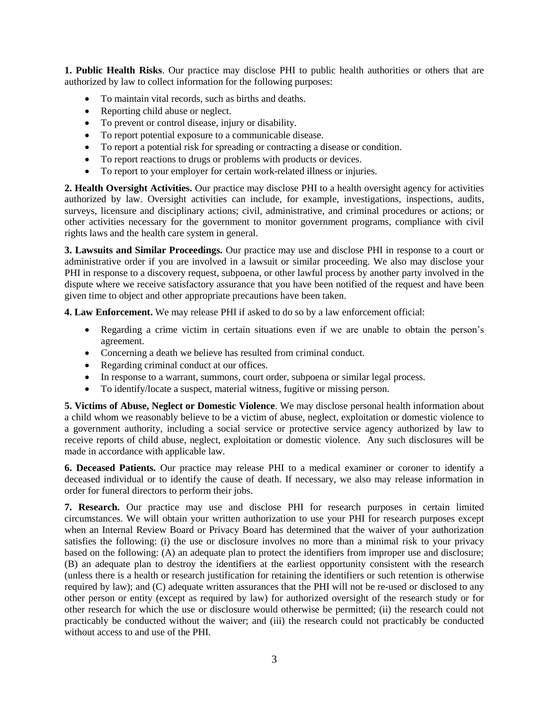**1. Public Health Risks**. Our practice may disclose PHI to public health authorities or others that are authorized by law to collect information for the following purposes:

- To maintain vital records, such as births and deaths.
- Reporting child abuse or neglect.
- To prevent or control disease, injury or disability.
- To report potential exposure to a communicable disease.
- To report a potential risk for spreading or contracting a disease or condition.
- To report reactions to drugs or problems with products or devices.
- To report to your employer for certain work-related illness or injuries.

**2. Health Oversight Activities.** Our practice may disclose PHI to a health oversight agency for activities authorized by law. Oversight activities can include, for example, investigations, inspections, audits, surveys, licensure and disciplinary actions; civil, administrative, and criminal procedures or actions; or other activities necessary for the government to monitor government programs, compliance with civil rights laws and the health care system in general.

**3. Lawsuits and Similar Proceedings.** Our practice may use and disclose PHI in response to a court or administrative order if you are involved in a lawsuit or similar proceeding. We also may disclose your PHI in response to a discovery request, subpoena, or other lawful process by another party involved in the dispute where we receive satisfactory assurance that you have been notified of the request and have been given time to object and other appropriate precautions have been taken.

**4. Law Enforcement.** We may release PHI if asked to do so by a law enforcement official:

- Regarding a crime victim in certain situations even if we are unable to obtain the person's agreement.
- Concerning a death we believe has resulted from criminal conduct.
- Regarding criminal conduct at our offices.
- In response to a warrant, summons, court order, subpoena or similar legal process.
- To identify/locate a suspect, material witness, fugitive or missing person.

**5. Victims of Abuse, Neglect or Domestic Violence**. We may disclose personal health information about a child whom we reasonably believe to be a victim of abuse, neglect, exploitation or domestic violence to a government authority, including a social service or protective service agency authorized by law to receive reports of child abuse, neglect, exploitation or domestic violence. Any such disclosures will be made in accordance with applicable law.

**6. Deceased Patients.** Our practice may release PHI to a medical examiner or coroner to identify a deceased individual or to identify the cause of death. If necessary, we also may release information in order for funeral directors to perform their jobs.

**7. Research.** Our practice may use and disclose PHI for research purposes in certain limited circumstances. We will obtain your written authorization to use your PHI for research purposes except when an Internal Review Board or Privacy Board has determined that the waiver of your authorization satisfies the following: (i) the use or disclosure involves no more than a minimal risk to your privacy based on the following: (A) an adequate plan to protect the identifiers from improper use and disclosure; (B) an adequate plan to destroy the identifiers at the earliest opportunity consistent with the research (unless there is a health or research justification for retaining the identifiers or such retention is otherwise required by law); and (C) adequate written assurances that the PHI will not be re-used or disclosed to any other person or entity (except as required by law) for authorized oversight of the research study or for other research for which the use or disclosure would otherwise be permitted; (ii) the research could not practicably be conducted without the waiver; and (iii) the research could not practicably be conducted without access to and use of the PHI.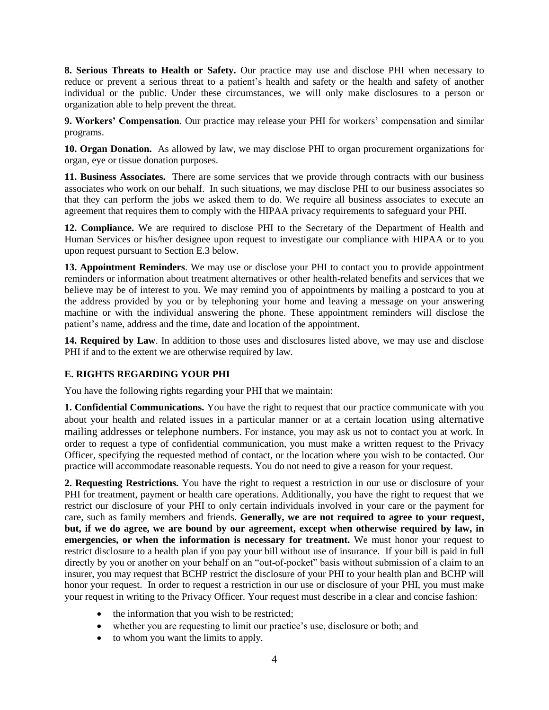**8. Serious Threats to Health or Safety.** Our practice may use and disclose PHI when necessary to reduce or prevent a serious threat to a patient's health and safety or the health and safety of another individual or the public. Under these circumstances, we will only make disclosures to a person or organization able to help prevent the threat.

**9. Workers' Compensation**. Our practice may release your PHI for workers' compensation and similar programs.

**10. Organ Donation.** As allowed by law, we may disclose PHI to organ procurement organizations for organ, eye or tissue donation purposes.

**11. Business Associates.** There are some services that we provide through contracts with our business associates who work on our behalf. In such situations, we may disclose PHI to our business associates so that they can perform the jobs we asked them to do. We require all business associates to execute an agreement that requires them to comply with the HIPAA privacy requirements to safeguard your PHI.

**12. Compliance.** We are required to disclose PHI to the Secretary of the Department of Health and Human Services or his/her designee upon request to investigate our compliance with HIPAA or to you upon request pursuant to Section E.3 below.

**13. Appointment Reminders**. We may use or disclose your PHI to contact you to provide appointment reminders or information about treatment alternatives or other health-related benefits and services that we believe may be of interest to you. We may remind you of appointments by mailing a postcard to you at the address provided by you or by telephoning your home and leaving a message on your answering machine or with the individual answering the phone. These appointment reminders will disclose the patient's name, address and the time, date and location of the appointment.

**14. Required by Law**. In addition to those uses and disclosures listed above, we may use and disclose PHI if and to the extent we are otherwise required by law.

#### **E. RIGHTS REGARDING YOUR PHI**

You have the following rights regarding your PHI that we maintain:

**1. Confidential Communications.** You have the right to request that our practice communicate with you about your health and related issues in a particular manner or at a certain location using alternative mailing addresses or telephone numbers. For instance, you may ask us not to contact you at work. In order to request a type of confidential communication, you must make a written request to the Privacy Officer, specifying the requested method of contact, or the location where you wish to be contacted. Our practice will accommodate reasonable requests. You do not need to give a reason for your request.

**2. Requesting Restrictions.** You have the right to request a restriction in our use or disclosure of your PHI for treatment, payment or health care operations. Additionally, you have the right to request that we restrict our disclosure of your PHI to only certain individuals involved in your care or the payment for care, such as family members and friends. **Generally, we are not required to agree to your request, but, if we do agree, we are bound by our agreement, except when otherwise required by law, in emergencies, or when the information is necessary for treatment.** We must honor your request to restrict disclosure to a health plan if you pay your bill without use of insurance. If your bill is paid in full directly by you or another on your behalf on an "out-of-pocket" basis without submission of a claim to an insurer, you may request that BCHP restrict the disclosure of your PHI to your health plan and BCHP will honor your request. In order to request a restriction in our use or disclosure of your PHI, you must make your request in writing to the Privacy Officer. Your request must describe in a clear and concise fashion:

- the information that you wish to be restricted;
- whether you are requesting to limit our practice's use, disclosure or both; and
- to whom you want the limits to apply.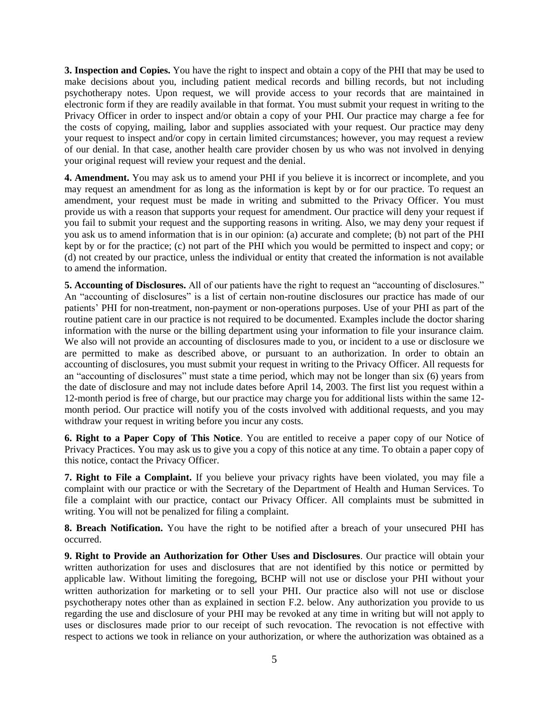**3. Inspection and Copies.** You have the right to inspect and obtain a copy of the PHI that may be used to make decisions about you, including patient medical records and billing records, but not including psychotherapy notes. Upon request, we will provide access to your records that are maintained in electronic form if they are readily available in that format. You must submit your request in writing to the Privacy Officer in order to inspect and/or obtain a copy of your PHI. Our practice may charge a fee for the costs of copying, mailing, labor and supplies associated with your request. Our practice may deny your request to inspect and/or copy in certain limited circumstances; however, you may request a review of our denial. In that case, another health care provider chosen by us who was not involved in denying your original request will review your request and the denial.

**4. Amendment.** You may ask us to amend your PHI if you believe it is incorrect or incomplete, and you may request an amendment for as long as the information is kept by or for our practice. To request an amendment, your request must be made in writing and submitted to the Privacy Officer. You must provide us with a reason that supports your request for amendment. Our practice will deny your request if you fail to submit your request and the supporting reasons in writing. Also, we may deny your request if you ask us to amend information that is in our opinion: (a) accurate and complete; (b) not part of the PHI kept by or for the practice; (c) not part of the PHI which you would be permitted to inspect and copy; or (d) not created by our practice, unless the individual or entity that created the information is not available to amend the information.

**5. Accounting of Disclosures.** All of our patients have the right to request an "accounting of disclosures." An "accounting of disclosures" is a list of certain non-routine disclosures our practice has made of our patients' PHI for non-treatment, non-payment or non-operations purposes. Use of your PHI as part of the routine patient care in our practice is not required to be documented. Examples include the doctor sharing information with the nurse or the billing department using your information to file your insurance claim. We also will not provide an accounting of disclosures made to you, or incident to a use or disclosure we are permitted to make as described above, or pursuant to an authorization. In order to obtain an accounting of disclosures, you must submit your request in writing to the Privacy Officer. All requests for an "accounting of disclosures" must state a time period, which may not be longer than six (6) years from the date of disclosure and may not include dates before April 14, 2003. The first list you request within a 12-month period is free of charge, but our practice may charge you for additional lists within the same 12 month period. Our practice will notify you of the costs involved with additional requests, and you may withdraw your request in writing before you incur any costs.

**6. Right to a Paper Copy of This Notice**. You are entitled to receive a paper copy of our Notice of Privacy Practices. You may ask us to give you a copy of this notice at any time. To obtain a paper copy of this notice, contact the Privacy Officer.

**7. Right to File a Complaint.** If you believe your privacy rights have been violated, you may file a complaint with our practice or with the Secretary of the Department of Health and Human Services. To file a complaint with our practice, contact our Privacy Officer. All complaints must be submitted in writing. You will not be penalized for filing a complaint.

**8. Breach Notification.** You have the right to be notified after a breach of your unsecured PHI has occurred.

**9. Right to Provide an Authorization for Other Uses and Disclosures**. Our practice will obtain your written authorization for uses and disclosures that are not identified by this notice or permitted by applicable law. Without limiting the foregoing, BCHP will not use or disclose your PHI without your written authorization for marketing or to sell your PHI. Our practice also will not use or disclose psychotherapy notes other than as explained in section F.2. below. Any authorization you provide to us regarding the use and disclosure of your PHI may be revoked at any time in writing but will not apply to uses or disclosures made prior to our receipt of such revocation. The revocation is not effective with respect to actions we took in reliance on your authorization, or where the authorization was obtained as a